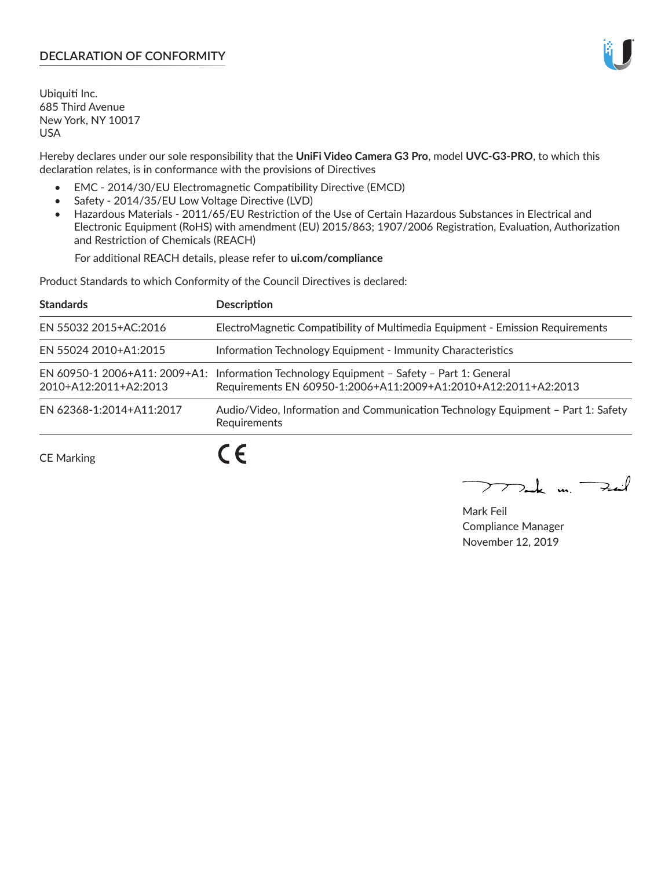# **DECLARATION OF CONFORMITY**

Ubiquiti Inc. 685 Third Avenue New York, NY 10017 USA

Hereby declares under our sole responsibility that the **UniFi Video Camera G3 Pro**, model **UVC-G3-PRO**, to which this declaration relates, is in conformance with the provisions of Directives

- EMC 2014/30/EU Electromagnetic Compatibility Directive (EMCD)
- Safety 2014/35/EU Low Voltage Directive (LVD)
- Hazardous Materials 2011/65/EU Restriction of the Use of Certain Hazardous Substances in Electrical and Electronic Equipment (RoHS) with amendment (EU) 2015/863; 1907/2006 Registration, Evaluation, Authorization and Restriction of Chemicals (REACH)

For additional REACH details, please refer to **ui.com/compliance**

Product Standards to which Conformity of the Council Directives is declared:

| <b>Standards</b>         | <b>Description</b>                                                                                                                                          |
|--------------------------|-------------------------------------------------------------------------------------------------------------------------------------------------------------|
| EN 55032 2015+AC:2016    | ElectroMagnetic Compatibility of Multimedia Equipment - Emission Requirements                                                                               |
| EN 55024 2010+A1:2015    | Information Technology Equipment - Immunity Characteristics                                                                                                 |
| 2010+A12:2011+A2:2013    | EN 60950-1 2006+A11: 2009+A1: Information Technology Equipment - Safety - Part 1: General<br>Requirements EN 60950-1:2006+A11:2009+A1:2010+A12:2011+A2:2013 |
| EN 62368-1:2014+A11:2017 | Audio/Video, Information and Communication Technology Equipment - Part 1: Safety<br>Requirements                                                            |
|                          |                                                                                                                                                             |

CE Marking

 $\boldsymbol{\mathcal{L}}$ 

 $\sum_{n,k}$  in  $\longrightarrow$  $\searrow$ 

Mark Feil Compliance Manager November 12, 2019

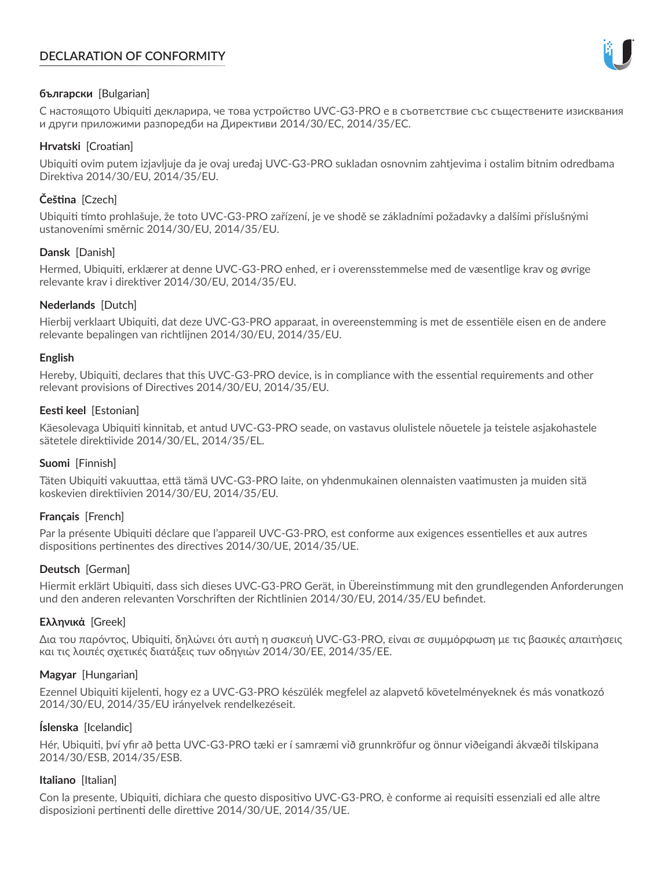# **DECLARATION OF CONFORMITY**



## **български** [Bulgarian]

С настоящото Ubiquiti декларира, че това устройство UVC-G3-PRO е в съответствие със съществените изисквания и други приложими разпоредби на Директиви 2014/30/ЕС, 2014/35/ЕС.

## **Hrvatski** [Croatian]

Ubiquiti ovim putem izjavljuje da je ovaj uređaj UVC-G3-PRO sukladan osnovnim zahtjevima i ostalim bitnim odredbama Direktiva 2014/30/EU, 2014/35/EU.

# **Čeština** [Czech]

Ubiquiti tímto prohlašuje, že toto UVC-G3-PRO zařízení, je ve shodě se základními požadavky a dalšími příslušnými ustanoveními směrnic 2014/30/EU, 2014/35/EU.

## **Dansk** [Danish]

Hermed, Ubiquiti, erklærer at denne UVC-G3-PRO enhed, er i overensstemmelse med de væsentlige krav og øvrige relevante krav i direktiver 2014/30/EU, 2014/35/EU.

## **Nederlands** [Dutch]

Hierbij verklaart Ubiquiti, dat deze UVC-G3-PRO apparaat, in overeenstemming is met de essentiële eisen en de andere relevante bepalingen van richtlijnen 2014/30/EU, 2014/35/EU.

### **English**

Hereby, Ubiquiti, declares that this UVC-G3-PRO device, is in compliance with the essential requirements and other relevant provisions of Directives 2014/30/EU, 2014/35/EU.

## **Eesti keel** [Estonian]

Käesolevaga Ubiquiti kinnitab, et antud UVC-G3-PRO seade, on vastavus olulistele nõuetele ja teistele asjakohastele sätetele direktiivide 2014/30/EL, 2014/35/EL.

# **Suomi** [Finnish]

Täten Ubiquiti vakuuttaa, että tämä UVC-G3-PRO laite, on yhdenmukainen olennaisten vaatimusten ja muiden sitä koskevien direktiivien 2014/30/EU, 2014/35/EU.

# **Français** [French]

Par la présente Ubiquiti déclare que l'appareil UVC-G3-PRO, est conforme aux exigences essentielles et aux autres dispositions pertinentes des directives 2014/30/UE, 2014/35/UE.

# **Deutsch** [German]

Hiermit erklärt Ubiquiti, dass sich dieses UVC-G3-PRO Gerät, in Übereinstimmung mit den grundlegenden Anforderungen und den anderen relevanten Vorschriften der Richtlinien 2014/30/EU, 2014/35/EU befindet.

# **Ελληνικά** [Greek]

Δια του παρόντος, Ubiquiti, δηλώνει ότι αυτή η συσκευή UVC-G3-PRO, είναι σε συμμόρφωση με τις βασικές απαιτήσεις και τις λοιπές σχετικές διατάξεις των οδηγιών 2014/30/EE, 2014/35/EE.

### **Magyar** [Hungarian]

Ezennel Ubiquiti kijelenti, hogy ez a UVC-G3-PRO készülék megfelel az alapvető követelményeknek és más vonatkozó 2014/30/EU, 2014/35/EU irányelvek rendelkezéseit.

### **Íslenska** [Icelandic]

Hér, Ubiquiti, því yfir að þetta UVC-G3-PRO tæki er í samræmi við grunnkröfur og önnur viðeigandi ákvæði tilskipana 2014/30/ESB, 2014/35/ESB.

### **Italiano** [Italian]

Con la presente, Ubiquiti, dichiara che questo dispositivo UVC-G3-PRO, è conforme ai requisiti essenziali ed alle altre disposizioni pertinenti delle direttive 2014/30/UE, 2014/35/UE.